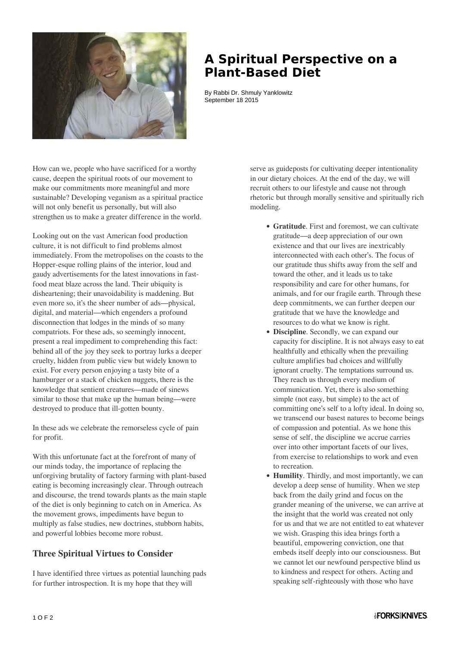

## **A Spiritual Perspective on a Plant-Based Diet**

By Rabbi Dr. Shmuly Yanklowitz September 18 2015

How can we, people who have sacrificed for a worthy cause, deepen the spiritual roots of our movement to make our commitments more meaningful and more sustainable? Developing veganism as a spiritual practice will not only benefit us personally, but will also strengthen us to make a greater difference in the world.

Looking out on the vast American food production culture, it is not difficult to find problems almost immediately. From the metropolises on the coasts to the Hopper-esque rolling plains of the interior, loud and gaudy advertisements for the latest innovations in fastfood meat blaze across the land. Their ubiquity is disheartening; their unavoidability is maddening. But even more so, it's the sheer number of ads—physical, digital, and material—which engenders a profound disconnection that lodges in the minds of so many compatriots. For these ads, so seemingly innocent, present a real impediment to comprehending this fact: behind all of the joy they seek to portray lurks a deeper cruelty, hidden from public view but widely known to exist. For every person enjoying a tasty bite of a hamburger or a stack of chicken nuggets, there is the knowledge that sentient creatures—made of sinews similar to those that make up the human being—were destroyed to produce that ill-gotten bounty.

In these ads we celebrate the remorseless cycle of pain for profit.

With this unfortunate fact at the forefront of many of our minds today, the importance of replacing the unforgiving brutality of factory farming with plant-based eating is becoming increasingly clear. Through outreach and discourse, the trend towards plants as the main staple of the diet is only beginning to catch on in America. As the movement grows, impediments have begun to multiply as false studies, new doctrines, stubborn habits, and powerful lobbies become more robust.

## **Three Spiritual Virtues to Consider**

I have identified three virtues as potential launching pads for further introspection. It is my hope that they will

serve as guideposts for cultivating deeper intentionality in our dietary choices. At the end of the day, we will recruit others to our lifestyle and cause not through rhetoric but through morally sensitive and spiritually rich modeling.

- **Gratitude**. First and foremost, we can cultivate gratitude—a deep appreciation of our own existence and that our lives are inextricably interconnected with each other's. The focus of our gratitude thus shifts away from the self and toward the other, and it leads us to take responsibility and care for other humans, for animals, and for our fragile earth. Through these deep commitments, we can further deepen our gratitude that we have the knowledge and resources to do what we know is right.
- **Discipline**. Secondly, we can expand our capacity for discipline. It is not always easy to eat healthfully and ethically when the prevailing culture amplifies bad choices and willfully ignorant cruelty. The temptations surround us. They reach us through every medium of communication. Yet, there is also something simple (not easy, but simple) to the act of committing one's self to a lofty ideal. In doing so, we transcend our basest natures to become beings of compassion and potential. As we hone this sense of self, the discipline we accrue carries over into other important facets of our lives, from exercise to relationships to work and even to recreation.
- **Humility**. Thirdly, and most importantly, we can develop a deep sense of humility. When we step back from the daily grind and focus on the grander meaning of the universe, we can arrive at the insight that the world was created not only for us and that we are not entitled to eat whatever we wish. Grasping this idea brings forth a beautiful, empowering conviction, one that embeds itself deeply into our consciousness. But we cannot let our newfound perspective blind us to kindness and respect for others. Acting and speaking self-righteously with those who have